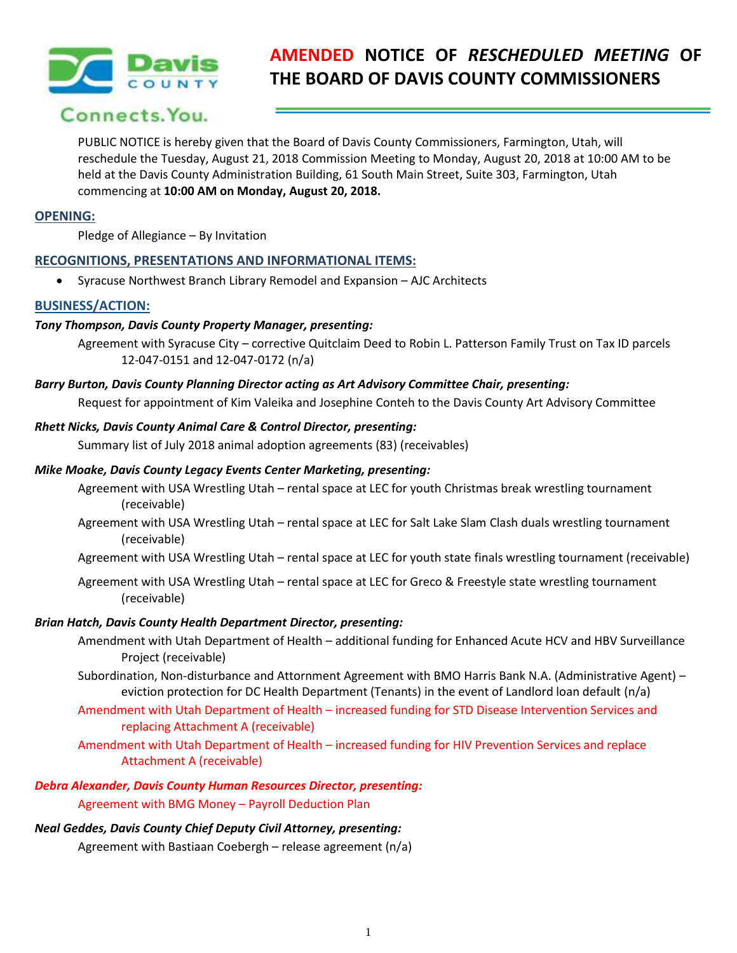

# **AMENDED NOTICE OF** *RESCHEDULED MEETING* **OF THE BOARD OF DAVIS COUNTY COMMISSIONERS**

## Connects, You.

PUBLIC NOTICE is hereby given that the Board of Davis County Commissioners, Farmington, Utah, will reschedule the Tuesday, August 21, 2018 Commission Meeting to Monday, August 20, 2018 at 10:00 AM to be held at the Davis County Administration Building, 61 South Main Street, Suite 303, Farmington, Utah commencing at **10:00 AM on Monday, August 20, 2018.**

#### **OPENING:**

Pledge of Allegiance – By Invitation

## **RECOGNITIONS, PRESENTATIONS AND INFORMATIONAL ITEMS:**

Syracuse Northwest Branch Library Remodel and Expansion – AJC Architects

## **BUSINESS/ACTION:**

## *Tony Thompson, Davis County Property Manager, presenting:*

Agreement with Syracuse City – corrective Quitclaim Deed to Robin L. Patterson Family Trust on Tax ID parcels 12-047-0151 and 12-047-0172 (n/a)

#### *Barry Burton, Davis County Planning Director acting as Art Advisory Committee Chair, presenting:*

Request for appointment of Kim Valeika and Josephine Conteh to the Davis County Art Advisory Committee

#### *Rhett Nicks, Davis County Animal Care & Control Director, presenting:*

Summary list of July 2018 animal adoption agreements (83) (receivables)

#### *Mike Moake, Davis County Legacy Events Center Marketing, presenting:*

- Agreement with USA Wrestling Utah rental space at LEC for youth Christmas break wrestling tournament (receivable)
- Agreement with USA Wrestling Utah rental space at LEC for Salt Lake Slam Clash duals wrestling tournament (receivable)

Agreement with USA Wrestling Utah – rental space at LEC for youth state finals wrestling tournament (receivable)

Agreement with USA Wrestling Utah – rental space at LEC for Greco & Freestyle state wrestling tournament (receivable)

#### *Brian Hatch, Davis County Health Department Director, presenting:*

- Amendment with Utah Department of Health additional funding for Enhanced Acute HCV and HBV Surveillance Project (receivable)
- Subordination, Non-disturbance and Attornment Agreement with BMO Harris Bank N.A. (Administrative Agent) eviction protection for DC Health Department (Tenants) in the event of Landlord loan default (n/a)
- Amendment with Utah Department of Health increased funding for STD Disease Intervention Services and replacing Attachment A (receivable)

Amendment with Utah Department of Health – increased funding for HIV Prevention Services and replace Attachment A (receivable)

## *Debra Alexander, Davis County Human Resources Director, presenting:*

Agreement with BMG Money – Payroll Deduction Plan

#### *Neal Geddes, Davis County Chief Deputy Civil Attorney, presenting:*

Agreement with Bastiaan Coebergh – release agreement (n/a)